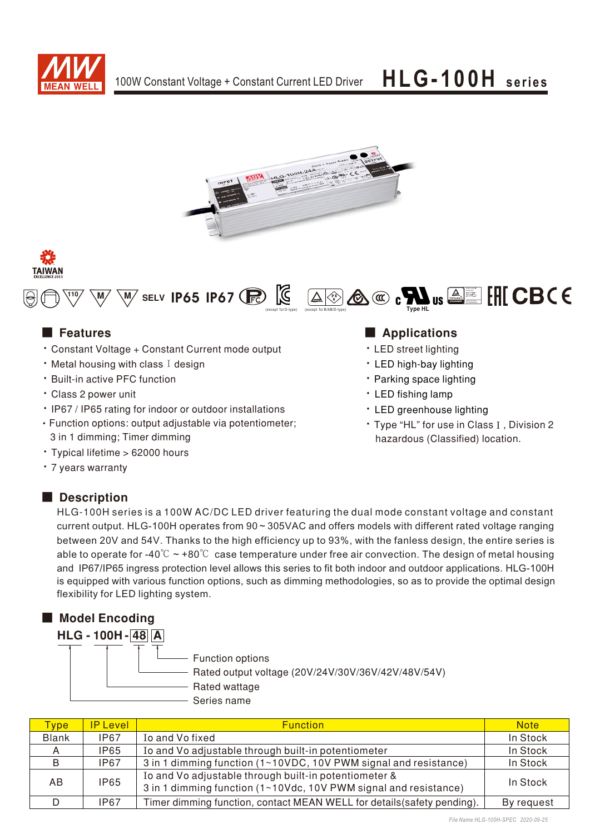







- Constant Voltage + Constant Current mode output
- $\cdot$  Metal housing with class I design
- **Built-in active PFC function**
- Class 2 power unit
- IP67 / IP65 rating for indoor or outdoor installations
- Function options: output adjustable via potentiometer; 3 in 1 dimming; Timer dimming
- Typical lifetime > 62000 hours
- 7 years warranty

## Description

### ■ Features ■ Particular and Particular and Particular and Particular and Particular and Particular and Particular and Particular and Particular and Particular and Particular and Particular and Particular and Particular an

- LED street lighting
- LED high-bay lighting
- Parking space lighting
- LED fishing lamp
- LED greenhouse lighting
- Type "HL" for use in Class I, Division 2 hazardous (Classified) location.

HLG-100H series is a 100W AC/DC LED driver featuring the dual mode constant voltage and constant current output. HLG-100H operates from 90~305VAC and offers models with different rated voltage ranging between 20V and 54V. Thanks to the high efficiency up to 93%, with the fanless design, the entire series is able to operate for -40°C  $\sim$  +80°C case temperature under free air convection. The design of metal housing and IP67/IP65 ingress protection level allows this series to fit both indoor and outdoor applications. HLG-100H is equipped with various function options, such as dimming methodologies, so as to provide the optimal design flexibility for LED lighting system.



| <b>Type</b>  | <b>IP Level</b> | <b>Function</b>                                                                                                           | <b>Note</b> |
|--------------|-----------------|---------------------------------------------------------------------------------------------------------------------------|-------------|
| <b>Blank</b> | <b>IP67</b>     | Io and Vo fixed                                                                                                           | In Stock    |
|              | <b>IP65</b>     | Io and Vo adjustable through built-in potentiometer                                                                       | In Stock    |
| B            | IP67            | 3 in 1 dimming function (1~10VDC, 10V PWM signal and resistance)                                                          | In Stock    |
| AB.          | <b>IP65</b>     | Io and Vo adjustable through built-in potentiometer &<br>3 in 1 dimming function (1~10Vdc, 10V PWM signal and resistance) | In Stock    |
|              | IP67            | Timer dimming function, contact MEAN WELL for details (safety pending).                                                   | By request  |

*File Name:HLG-100H-SPEC 2020-09-25*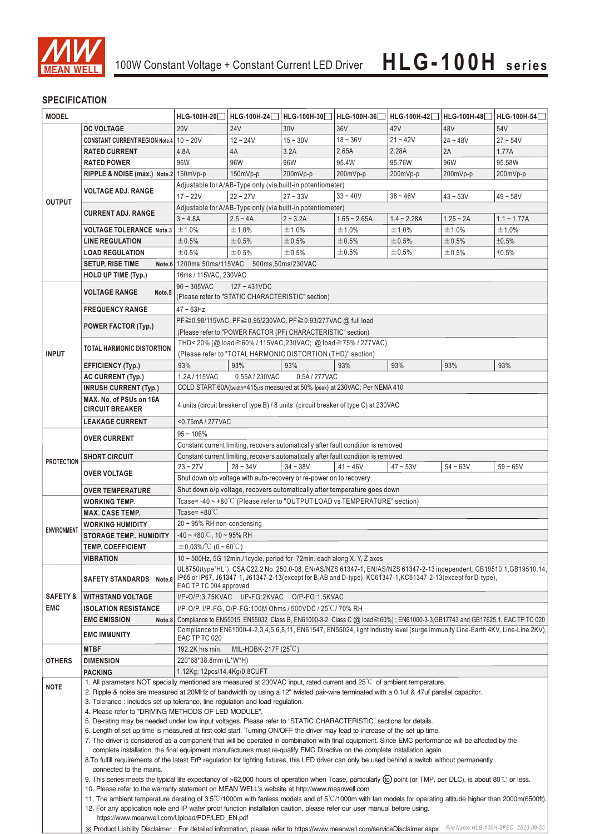

### **SPECIFICATION**

| <b>MODEL</b>                                                                                                              |                                                                                                                                                                                                                                                                                                                                                                                                                                                        | HLG-100H-20                                                                                                                                                                                            | HLG-100H-24                                                                        | HLG-100H-30 | HLG-100H-36    | HLG-100H-42   | HLG-100H-48 | HLG-100H-54                         |  |
|---------------------------------------------------------------------------------------------------------------------------|--------------------------------------------------------------------------------------------------------------------------------------------------------------------------------------------------------------------------------------------------------------------------------------------------------------------------------------------------------------------------------------------------------------------------------------------------------|--------------------------------------------------------------------------------------------------------------------------------------------------------------------------------------------------------|------------------------------------------------------------------------------------|-------------|----------------|---------------|-------------|-------------------------------------|--|
|                                                                                                                           |                                                                                                                                                                                                                                                                                                                                                                                                                                                        | <b>20V</b>                                                                                                                                                                                             | <b>24V</b>                                                                         | 30V         | 36V            | 42V           | 48V         | 54V                                 |  |
|                                                                                                                           | <b>DC VOLTAGE</b>                                                                                                                                                                                                                                                                                                                                                                                                                                      |                                                                                                                                                                                                        | $12 - 24V$                                                                         | $15 - 30V$  | $18 - 36V$     | $21 - 42V$    | $24 - 48V$  | $27 - 54V$                          |  |
|                                                                                                                           | CONSTANT CURRENT REGION Note.4   10 ~ 20V                                                                                                                                                                                                                                                                                                                                                                                                              |                                                                                                                                                                                                        |                                                                                    |             |                |               |             |                                     |  |
|                                                                                                                           | <b>RATED CURRENT</b>                                                                                                                                                                                                                                                                                                                                                                                                                                   | 4.8A                                                                                                                                                                                                   | 4A                                                                                 | 3.2A        | 2.65A          | 2.28A         | 2A          | 1.77A                               |  |
|                                                                                                                           | <b>RATED POWER</b>                                                                                                                                                                                                                                                                                                                                                                                                                                     | 96W                                                                                                                                                                                                    | 96W                                                                                | 96W         | 95.4W          | 95.76W        | 96W         | 95.58W                              |  |
|                                                                                                                           | RIPPLE & NOISE (max.) Note.2 150mVp-p                                                                                                                                                                                                                                                                                                                                                                                                                  | 150mVp-p<br>200mVp-p<br>200mVp-p<br>200mVp-p<br>200mVp-p<br>200mVp-p                                                                                                                                   |                                                                                    |             |                |               |             |                                     |  |
|                                                                                                                           | VOLTAGE ADJ. RANGE                                                                                                                                                                                                                                                                                                                                                                                                                                     | Adjustable for A/AB-Type only (via built-in potentiometer)                                                                                                                                             |                                                                                    |             |                |               |             |                                     |  |
| <b>OUTPUT</b>                                                                                                             |                                                                                                                                                                                                                                                                                                                                                                                                                                                        | $17 - 22V$                                                                                                                                                                                             | $22 - 27V$                                                                         | $27 - 33V$  | $33 - 40V$     | $38 - 46V$    | $43 - 53V$  | $49 - 58V$                          |  |
|                                                                                                                           | <b>CURRENT ADJ. RANGE</b>                                                                                                                                                                                                                                                                                                                                                                                                                              |                                                                                                                                                                                                        | Adjustable for A/AB-Type only (via built-in potentiometer)                         |             |                |               |             |                                     |  |
|                                                                                                                           |                                                                                                                                                                                                                                                                                                                                                                                                                                                        | $3 - 4.8A$                                                                                                                                                                                             | $2.5 - 4A$                                                                         | $2 - 3.2A$  | $1.65 - 2.65A$ | $1.4 - 2.28A$ | $1.25 - 2A$ | $1.1 - 1.77A$                       |  |
|                                                                                                                           | <b>VOLTAGE TOLERANCE Note.3</b>                                                                                                                                                                                                                                                                                                                                                                                                                        | ±1.0%                                                                                                                                                                                                  | ±1.0%                                                                              | ±1.0%       | ±1.0%          | ±1.0%         | ±1.0%       | ±1.0%                               |  |
|                                                                                                                           | <b>LINE REGULATION</b>                                                                                                                                                                                                                                                                                                                                                                                                                                 | ±0.5%                                                                                                                                                                                                  | ±0.5%                                                                              | $\pm 0.5\%$ | ±0.5%          | ±0.5%         | ±0.5%       | ±0.5%                               |  |
|                                                                                                                           | <b>LOAD REGULATION</b>                                                                                                                                                                                                                                                                                                                                                                                                                                 | ±0.5%                                                                                                                                                                                                  | ±0.5%                                                                              | ±0.5%       | ±0.5%          | ±0.5%         | ±0.5%       | ±0.5%                               |  |
|                                                                                                                           | <b>SETUP, RISE TIME</b>                                                                                                                                                                                                                                                                                                                                                                                                                                | Note.6 1200ms, 50ms/115VAC 500ms, 50ms/230VAC                                                                                                                                                          |                                                                                    |             |                |               |             |                                     |  |
|                                                                                                                           | <b>HOLD UP TIME (Typ.)</b>                                                                                                                                                                                                                                                                                                                                                                                                                             | 16ms / 115VAC, 230VAC                                                                                                                                                                                  |                                                                                    |             |                |               |             |                                     |  |
|                                                                                                                           | <b>VOLTAGE RANGE</b><br>Note.5                                                                                                                                                                                                                                                                                                                                                                                                                         | $127 - 431VDC$<br>$90 \sim 305$ VAC                                                                                                                                                                    |                                                                                    |             |                |               |             |                                     |  |
|                                                                                                                           |                                                                                                                                                                                                                                                                                                                                                                                                                                                        | (Please refer to "STATIC CHARACTERISTIC" section)                                                                                                                                                      |                                                                                    |             |                |               |             |                                     |  |
|                                                                                                                           | <b>FREQUENCY RANGE</b>                                                                                                                                                                                                                                                                                                                                                                                                                                 | $47 \sim 63$ Hz                                                                                                                                                                                        |                                                                                    |             |                |               |             |                                     |  |
|                                                                                                                           |                                                                                                                                                                                                                                                                                                                                                                                                                                                        | PF≧0.98/115VAC, PF≧0.95/230VAC, PF≧0.93/277VAC @ full load                                                                                                                                             |                                                                                    |             |                |               |             |                                     |  |
|                                                                                                                           | <b>POWER FACTOR (Typ.)</b>                                                                                                                                                                                                                                                                                                                                                                                                                             | (Please refer to "POWER FACTOR (PF) CHARACTERISTIC" section)                                                                                                                                           |                                                                                    |             |                |               |             |                                     |  |
|                                                                                                                           |                                                                                                                                                                                                                                                                                                                                                                                                                                                        | THD<20% (@load≧60% / 115VAC,230VAC; @load≧75% / 277VAC)                                                                                                                                                |                                                                                    |             |                |               |             |                                     |  |
| <b>INPUT</b>                                                                                                              | <b>TOTAL HARMONIC DISTORTION</b>                                                                                                                                                                                                                                                                                                                                                                                                                       |                                                                                                                                                                                                        | (Please refer to "TOTAL HARMONIC DISTORTION (THD)" section)                        |             |                |               |             |                                     |  |
|                                                                                                                           | <b>EFFICIENCY (Typ.)</b>                                                                                                                                                                                                                                                                                                                                                                                                                               | 93%                                                                                                                                                                                                    | 93%                                                                                | 93%         | 93%            | 93%           | 93%         | 93%                                 |  |
|                                                                                                                           | <b>AC CURRENT (Typ.)</b>                                                                                                                                                                                                                                                                                                                                                                                                                               | 1.2A/115VAC                                                                                                                                                                                            | 0.55A / 230VAC                                                                     | 0.5A/277VAC |                |               |             |                                     |  |
|                                                                                                                           | <b>INRUSH CURRENT (Typ.)</b>                                                                                                                                                                                                                                                                                                                                                                                                                           | COLD START 60A(twidth=415µs measured at 50% Ipeak) at 230VAC; Per NEMA 410                                                                                                                             |                                                                                    |             |                |               |             |                                     |  |
|                                                                                                                           | MAX. No. of PSUs on 16A                                                                                                                                                                                                                                                                                                                                                                                                                                |                                                                                                                                                                                                        |                                                                                    |             |                |               |             |                                     |  |
|                                                                                                                           | <b>CIRCUIT BREAKER</b>                                                                                                                                                                                                                                                                                                                                                                                                                                 | 4 units (circuit breaker of type B) / 8 units (circuit breaker of type C) at 230VAC                                                                                                                    |                                                                                    |             |                |               |             |                                     |  |
|                                                                                                                           | <b>LEAKAGE CURRENT</b>                                                                                                                                                                                                                                                                                                                                                                                                                                 | <0.75mA/277VAC                                                                                                                                                                                         |                                                                                    |             |                |               |             |                                     |  |
|                                                                                                                           |                                                                                                                                                                                                                                                                                                                                                                                                                                                        | $95 - 106\%$                                                                                                                                                                                           |                                                                                    |             |                |               |             |                                     |  |
|                                                                                                                           | <b>OVER CURRENT</b>                                                                                                                                                                                                                                                                                                                                                                                                                                    | Constant current limiting, recovers automatically after fault condition is removed                                                                                                                     |                                                                                    |             |                |               |             |                                     |  |
|                                                                                                                           | <b>SHORT CIRCUIT</b>                                                                                                                                                                                                                                                                                                                                                                                                                                   |                                                                                                                                                                                                        | Constant current limiting, recovers automatically after fault condition is removed |             |                |               |             |                                     |  |
| <b>PROTECTION</b>                                                                                                         |                                                                                                                                                                                                                                                                                                                                                                                                                                                        | $23 - 27V$                                                                                                                                                                                             | $28 - 34V$                                                                         | $34 - 38V$  | $41 - 46V$     | $47 - 53V$    | $54 - 63V$  | $59 - 65V$                          |  |
|                                                                                                                           | <b>OVER VOLTAGE</b>                                                                                                                                                                                                                                                                                                                                                                                                                                    |                                                                                                                                                                                                        |                                                                                    |             |                |               |             |                                     |  |
|                                                                                                                           | <b>OVER TEMPERATURE</b>                                                                                                                                                                                                                                                                                                                                                                                                                                | Shut down o/p voltage with auto-recovery or re-power on to recovery<br>Shut down o/p voltage, recovers automatically after temperature goes down                                                       |                                                                                    |             |                |               |             |                                     |  |
|                                                                                                                           | <b>WORKING TEMP.</b>                                                                                                                                                                                                                                                                                                                                                                                                                                   | Tcase=-40~+80°C (Please refer to "OUTPUT LOAD vs TEMPERATURE" section)                                                                                                                                 |                                                                                    |             |                |               |             |                                     |  |
|                                                                                                                           | <b>MAX. CASE TEMP.</b>                                                                                                                                                                                                                                                                                                                                                                                                                                 | Tcase= $+80^{\circ}$ C                                                                                                                                                                                 |                                                                                    |             |                |               |             |                                     |  |
|                                                                                                                           |                                                                                                                                                                                                                                                                                                                                                                                                                                                        | 20 ~ 95% RH non-condensing                                                                                                                                                                             |                                                                                    |             |                |               |             |                                     |  |
| <b>ENVIRONMENT</b>                                                                                                        | <b>WORKING HUMIDITY</b><br><b>STORAGE TEMP., HUMIDITY</b>                                                                                                                                                                                                                                                                                                                                                                                              | $-40 \sim +80^{\circ}$ C, 10 ~ 95% RH                                                                                                                                                                  |                                                                                    |             |                |               |             |                                     |  |
|                                                                                                                           | <b>TEMP. COEFFICIENT</b>                                                                                                                                                                                                                                                                                                                                                                                                                               |                                                                                                                                                                                                        |                                                                                    |             |                |               |             |                                     |  |
|                                                                                                                           | <b>VIBRATION</b>                                                                                                                                                                                                                                                                                                                                                                                                                                       | $\pm$ 0.03%/°C (0 ~ 60°C)                                                                                                                                                                              |                                                                                    |             |                |               |             |                                     |  |
|                                                                                                                           |                                                                                                                                                                                                                                                                                                                                                                                                                                                        | 10 $\sim$ 500Hz, 5G 12min./1 cycle, period for 72min. each along X, Y, Z axes<br>UL8750(type"HL"), CSA C22.2 No. 250.0-08; EN/AS/NZS 61347-1, EN/AS/NZS 61347-2-13 independent; GB19510.1, GB19510.14, |                                                                                    |             |                |               |             |                                     |  |
|                                                                                                                           | <b>SAFETY STANDARDS</b><br>Note.8                                                                                                                                                                                                                                                                                                                                                                                                                      | IP65 or IP67, J61347-1, J61347-2-13(except for B,AB and D-type), KC61347-1, KC61347-2-13(except for D-type),                                                                                           |                                                                                    |             |                |               |             |                                     |  |
|                                                                                                                           |                                                                                                                                                                                                                                                                                                                                                                                                                                                        | EAC TP TC 004 approved                                                                                                                                                                                 |                                                                                    |             |                |               |             |                                     |  |
| <b>SAFETY &amp;</b>                                                                                                       | <b>WITHSTAND VOLTAGE</b>                                                                                                                                                                                                                                                                                                                                                                                                                               | I/P-O/P:3.75KVAC I/P-FG:2KVAC O/P-FG:1.5KVAC                                                                                                                                                           |                                                                                    |             |                |               |             |                                     |  |
| <b>EMC</b>                                                                                                                | ISOLATION RESISTANCE                                                                                                                                                                                                                                                                                                                                                                                                                                   |                                                                                                                                                                                                        | I/P-O/P, I/P-FG, O/P-FG:100M Ohms / 500VDC / 25 °C / 70% RH                        |             |                |               |             |                                     |  |
|                                                                                                                           | <b>EMC EMISSION</b><br>Note.8                                                                                                                                                                                                                                                                                                                                                                                                                          | Compliance to EN55015, EN55032 Class B, EN61000-3-2 Class C (@ load≧60%); EN61000-3-3, GB17743 and GB17625.1, EAC TP TC 020                                                                            |                                                                                    |             |                |               |             |                                     |  |
|                                                                                                                           | <b>EMC IMMUNITY</b>                                                                                                                                                                                                                                                                                                                                                                                                                                    | Compliance to EN61000-4-2,3,4,5,6,8,11, EN61547, EN55024, light industry level (surge immunity Line-Earth 4KV, Line-Line 2KV),                                                                         |                                                                                    |             |                |               |             |                                     |  |
|                                                                                                                           |                                                                                                                                                                                                                                                                                                                                                                                                                                                        | EAC TP TC 020                                                                                                                                                                                          |                                                                                    |             |                |               |             |                                     |  |
| <b>OTHERS</b>                                                                                                             | <b>MTBF</b>                                                                                                                                                                                                                                                                                                                                                                                                                                            | 192.2K hrs min.                                                                                                                                                                                        | MIL-HDBK-217F $(25^{\circ}C)$                                                      |             |                |               |             |                                     |  |
|                                                                                                                           | <b>DIMENSION</b>                                                                                                                                                                                                                                                                                                                                                                                                                                       | 220*68*38.8mm (L*W*H)                                                                                                                                                                                  |                                                                                    |             |                |               |             |                                     |  |
|                                                                                                                           | <b>PACKING</b>                                                                                                                                                                                                                                                                                                                                                                                                                                         | 1.12Kg; 12pcs/14.4Kg/0.8CUFT                                                                                                                                                                           |                                                                                    |             |                |               |             |                                     |  |
| <b>NOTE</b>                                                                                                               | 1. All parameters NOT specially mentioned are measured at 230VAC input, rated current and 25°C of ambient temperature.<br>2. Ripple & noise are measured at 20MHz of bandwidth by using a 12" twisted pair-wire terminated with a 0.1uf & 47uf parallel capacitor.                                                                                                                                                                                     |                                                                                                                                                                                                        |                                                                                    |             |                |               |             |                                     |  |
|                                                                                                                           |                                                                                                                                                                                                                                                                                                                                                                                                                                                        |                                                                                                                                                                                                        |                                                                                    |             |                |               |             |                                     |  |
|                                                                                                                           | 3. Tolerance: includes set up tolerance, line regulation and load regulation.<br>4. Please refer to "DRIVING METHODS OF LED MODULE".                                                                                                                                                                                                                                                                                                                   |                                                                                                                                                                                                        |                                                                                    |             |                |               |             |                                     |  |
|                                                                                                                           | 5. De-rating may be needed under low input voltages. Please refer to "STATIC CHARACTERISTIC" sections for details.                                                                                                                                                                                                                                                                                                                                     |                                                                                                                                                                                                        |                                                                                    |             |                |               |             |                                     |  |
|                                                                                                                           | 6. Length of set up time is measured at first cold start. Turning ON/OFF the driver may lead to increase of the set up time.                                                                                                                                                                                                                                                                                                                           |                                                                                                                                                                                                        |                                                                                    |             |                |               |             |                                     |  |
|                                                                                                                           | 7. The driver is considered as a component that will be operated in combination with final equipment. Since EMC performance will be affected by the                                                                                                                                                                                                                                                                                                    |                                                                                                                                                                                                        |                                                                                    |             |                |               |             |                                     |  |
|                                                                                                                           | complete installation, the final equipment manufacturers must re-qualify EMC Directive on the complete installation again.<br>8. To fulfill requirements of the latest ErP regulation for lighting fixtures, this LED driver can only be used behind a switch without permanently                                                                                                                                                                      |                                                                                                                                                                                                        |                                                                                    |             |                |               |             |                                     |  |
|                                                                                                                           |                                                                                                                                                                                                                                                                                                                                                                                                                                                        |                                                                                                                                                                                                        |                                                                                    |             |                |               |             |                                     |  |
|                                                                                                                           | connected to the mains.<br>9. This series meets the typical life expectancy of >62,000 hours of operation when Tcase, particularly (tc) point (or TMP, per DLC), is about 80 °C or less.<br>10. Please refer to the warranty statement on MEAN WELL's website at http://www.meanwell.com<br>11. The ambient temperature derating of 3.5°C/1000m with fanless models and of 5°C/1000m with fan models for operating altitude higher than 2000m(6500ft). |                                                                                                                                                                                                        |                                                                                    |             |                |               |             |                                     |  |
|                                                                                                                           |                                                                                                                                                                                                                                                                                                                                                                                                                                                        |                                                                                                                                                                                                        |                                                                                    |             |                |               |             |                                     |  |
|                                                                                                                           |                                                                                                                                                                                                                                                                                                                                                                                                                                                        |                                                                                                                                                                                                        |                                                                                    |             |                |               |             |                                     |  |
|                                                                                                                           |                                                                                                                                                                                                                                                                                                                                                                                                                                                        | 12. For any application note and IP water proof function installation caution, please refer our user manual before using.                                                                              |                                                                                    |             |                |               |             |                                     |  |
|                                                                                                                           |                                                                                                                                                                                                                                                                                                                                                                                                                                                        | https://www.meanwell.com/Upload/PDF/LED EN.pdf                                                                                                                                                         |                                                                                    |             |                |               |             |                                     |  |
| X Product Liability Disclaimer: For detailed information, please refer to https://www.meanwell.com/serviceDisclaimer.aspx |                                                                                                                                                                                                                                                                                                                                                                                                                                                        |                                                                                                                                                                                                        |                                                                                    |             |                |               |             | File Name: HLG-100H-SPEC 2020-09-25 |  |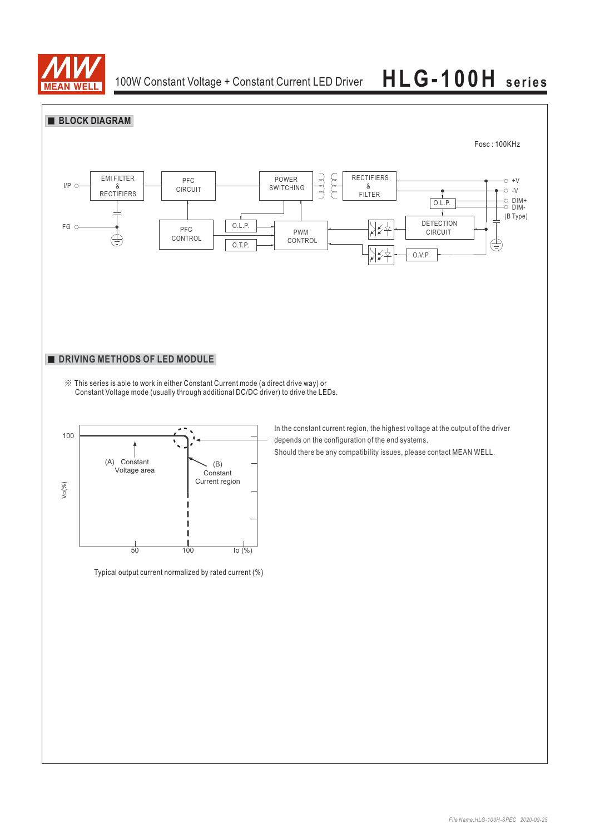

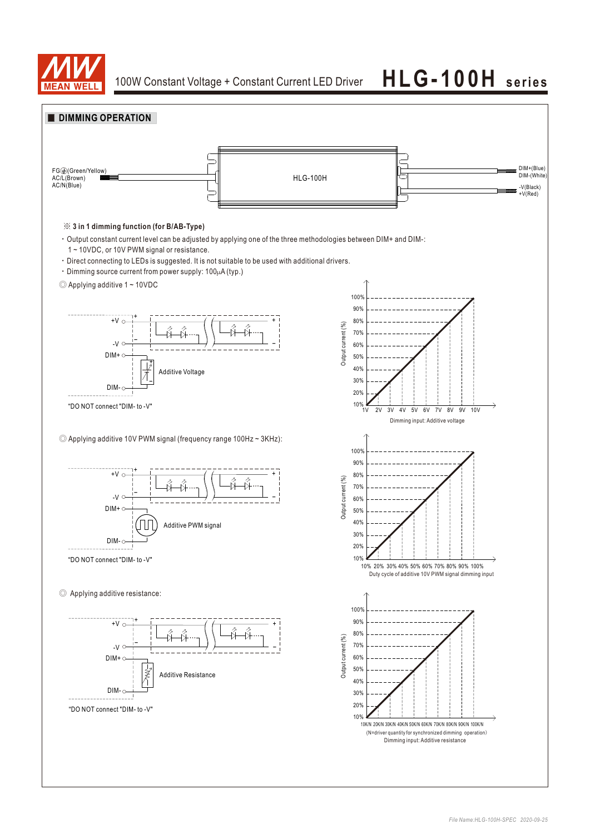

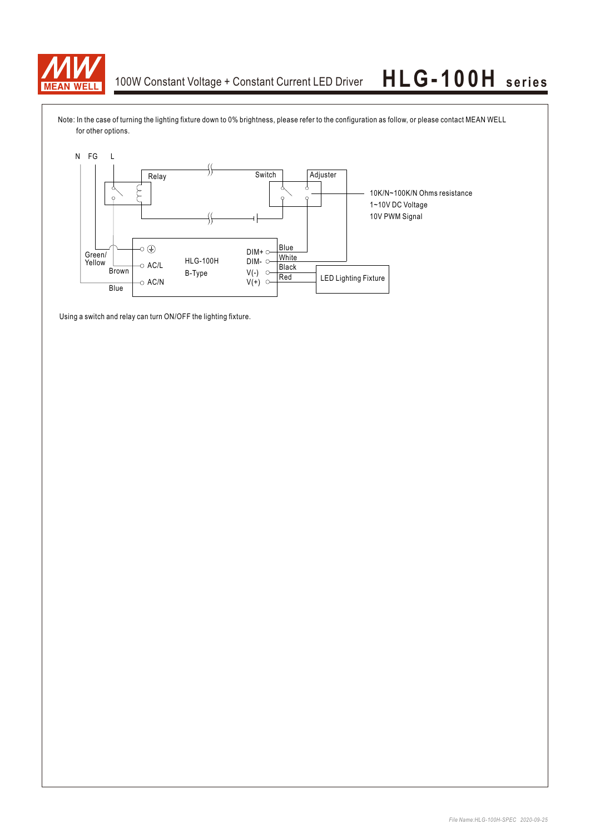

Note: In the case of turning the lighting fixture down to 0% brightness, please refer to the configuration as follow, or please contact MEAN WELL for other options.



Using a switch and relay can turn ON/OFF the lighting fixture.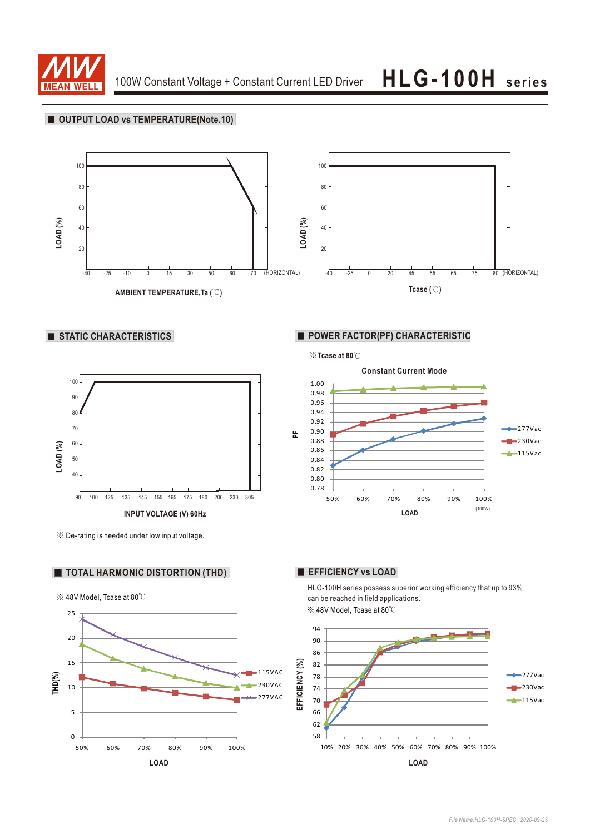

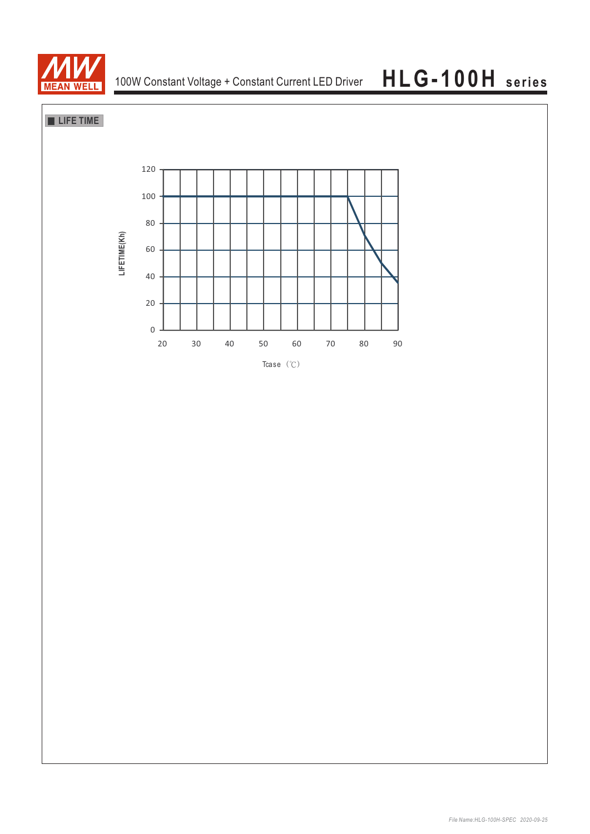

**LIFE TIME** 

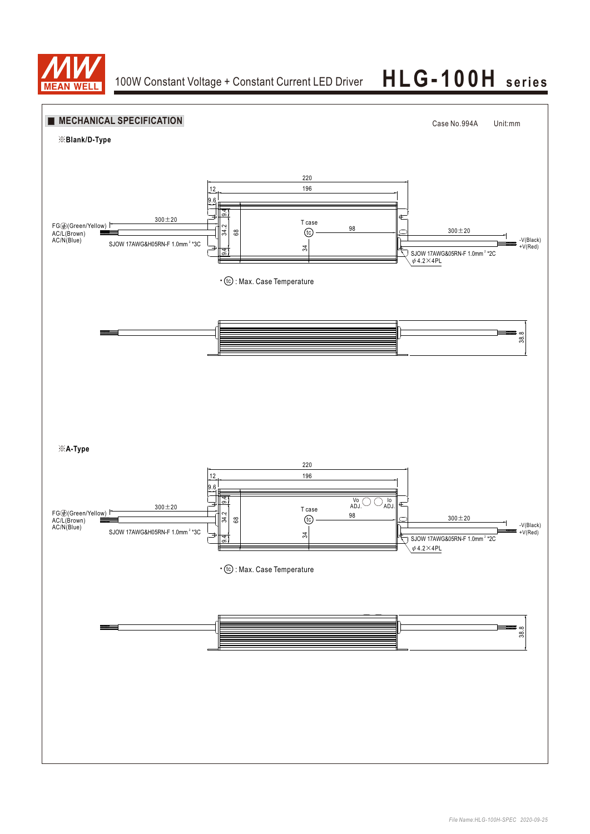

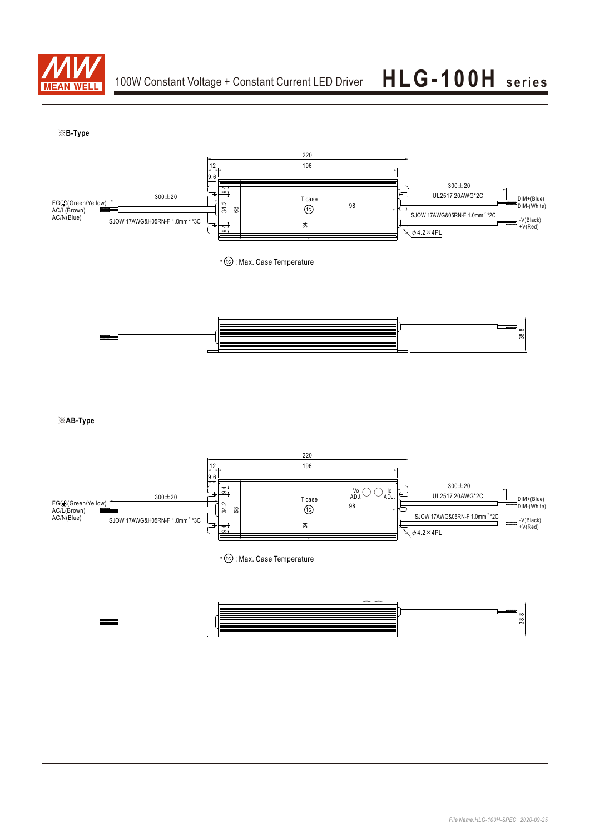